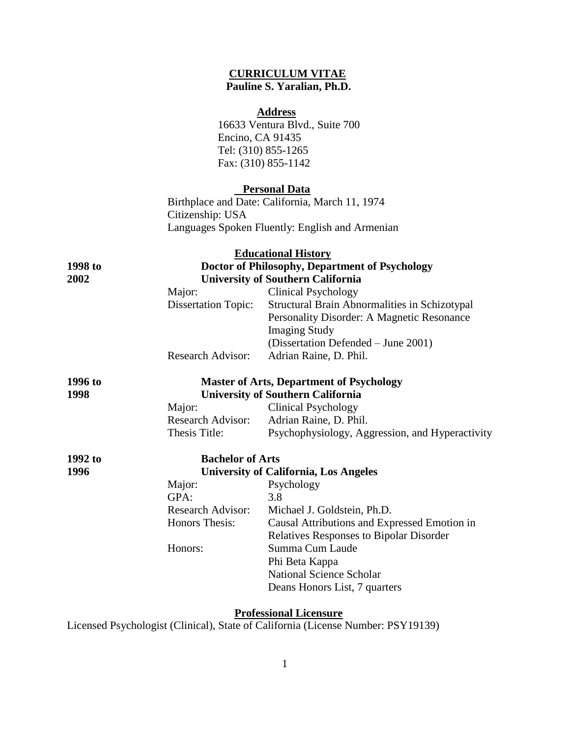# **CURRICULUM VITAE Pauline S. Yaralian, Ph.D.**

# **Address**

16633 Ventura Blvd., Suite 700 Encino, CA 91435 Tel: (310) 855-1265 Fax: (310) 855-1142

#### **Personal Data**

Birthplace and Date: California, March 11, 1974 Citizenship: USA Languages Spoken Fluently: English and Armenian

|         |                                          | <b>Educational History</b>                      |  |
|---------|------------------------------------------|-------------------------------------------------|--|
| 1998 to |                                          | Doctor of Philosophy, Department of Psychology  |  |
| 2002    | <b>University of Southern California</b> |                                                 |  |
|         | Major:                                   | <b>Clinical Psychology</b>                      |  |
|         | <b>Dissertation Topic:</b>               | Structural Brain Abnormalities in Schizotypal   |  |
|         |                                          | Personality Disorder: A Magnetic Resonance      |  |
|         |                                          | <b>Imaging Study</b>                            |  |
|         |                                          | (Dissertation Defended – June 2001)             |  |
|         | <b>Research Advisor:</b>                 | Adrian Raine, D. Phil.                          |  |
| 1996 to |                                          | <b>Master of Arts, Department of Psychology</b> |  |
| 1998    |                                          | <b>University of Southern California</b>        |  |
|         | Major:                                   | <b>Clinical Psychology</b>                      |  |
|         | <b>Research Advisor:</b>                 | Adrian Raine, D. Phil.                          |  |
|         | Thesis Title:                            | Psychophysiology, Aggression, and Hyperactivity |  |
| 1992 to | <b>Bachelor of Arts</b>                  |                                                 |  |
| 1996    |                                          | <b>University of California, Los Angeles</b>    |  |
|         | Major:                                   | Psychology                                      |  |
|         | GPA:                                     | 3.8                                             |  |
|         | <b>Research Advisor:</b>                 | Michael J. Goldstein, Ph.D.                     |  |
|         | Honors Thesis:                           | Causal Attributions and Expressed Emotion in    |  |
|         |                                          | <b>Relatives Responses to Bipolar Disorder</b>  |  |
|         | Honors:                                  | Summa Cum Laude                                 |  |
|         |                                          | Phi Beta Kappa                                  |  |
|         |                                          | <b>National Science Scholar</b>                 |  |
|         |                                          | Deans Honors List, 7 quarters                   |  |

# **Professional Licensure**

Licensed Psychologist (Clinical), State of California (License Number: PSY19139)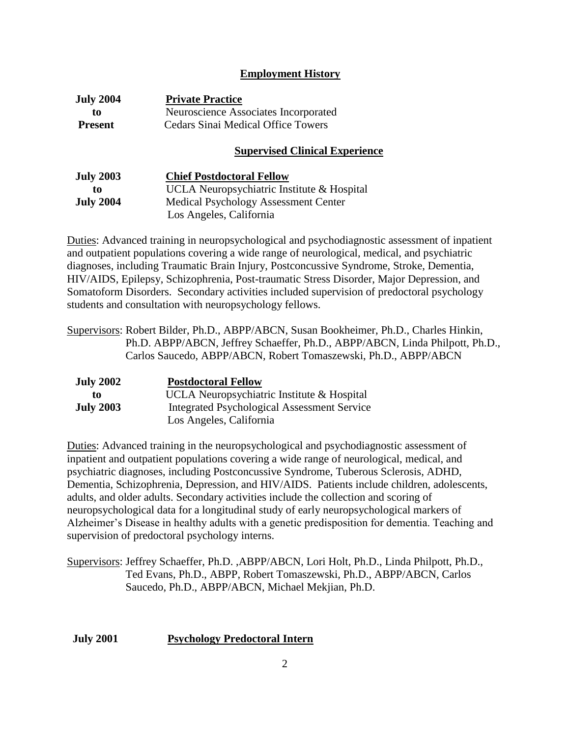# **Employment History**

| <b>July 2004</b> | <b>Private Practice</b>                   |
|------------------|-------------------------------------------|
| to               | Neuroscience Associates Incorporated      |
| <b>Present</b>   | <b>Cedars Sinai Medical Office Towers</b> |
|                  | <b>Supervised Clinical Experience</b>     |

| <b>July 2003</b> | <b>Chief Postdoctoral Fellow</b>            |
|------------------|---------------------------------------------|
| to               | UCLA Neuropsychiatric Institute & Hospital  |
| <b>July 2004</b> | <b>Medical Psychology Assessment Center</b> |
|                  | Los Angeles, California                     |

Duties: Advanced training in neuropsychological and psychodiagnostic assessment of inpatient and outpatient populations covering a wide range of neurological, medical, and psychiatric diagnoses, including Traumatic Brain Injury, Postconcussive Syndrome, Stroke, Dementia, HIV/AIDS, Epilepsy, Schizophrenia, Post-traumatic Stress Disorder, Major Depression, and Somatoform Disorders. Secondary activities included supervision of predoctoral psychology students and consultation with neuropsychology fellows.

Supervisors: Robert Bilder, Ph.D., ABPP/ABCN, Susan Bookheimer, Ph.D., Charles Hinkin, Ph.D. ABPP/ABCN, Jeffrey Schaeffer, Ph.D., ABPP/ABCN, Linda Philpott, Ph.D., Carlos Saucedo, ABPP/ABCN, Robert Tomaszewski, Ph.D., ABPP/ABCN

| <b>July 2002</b> | <b>Postdoctoral Fellow</b>                         |
|------------------|----------------------------------------------------|
| to               | UCLA Neuropsychiatric Institute & Hospital         |
| <b>July 2003</b> | <b>Integrated Psychological Assessment Service</b> |
|                  | Los Angeles, California                            |

Duties: Advanced training in the neuropsychological and psychodiagnostic assessment of inpatient and outpatient populations covering a wide range of neurological, medical, and psychiatric diagnoses, including Postconcussive Syndrome, Tuberous Sclerosis, ADHD, Dementia, Schizophrenia, Depression, and HIV/AIDS. Patients include children, adolescents, adults, and older adults. Secondary activities include the collection and scoring of neuropsychological data for a longitudinal study of early neuropsychological markers of Alzheimer's Disease in healthy adults with a genetic predisposition for dementia. Teaching and supervision of predoctoral psychology interns.

Supervisors: Jeffrey Schaeffer, Ph.D. ,ABPP/ABCN, Lori Holt, Ph.D., Linda Philpott, Ph.D., Ted Evans, Ph.D., ABPP, Robert Tomaszewski, Ph.D., ABPP/ABCN, Carlos Saucedo, Ph.D., ABPP/ABCN, Michael Mekjian, Ph.D.

#### **July 2001 Psychology Predoctoral Intern**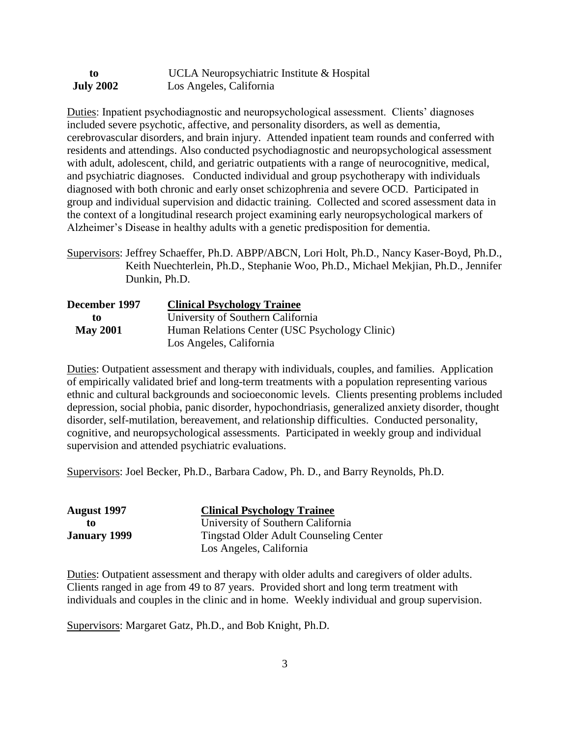| to               | UCLA Neuropsychiatric Institute & Hospital |
|------------------|--------------------------------------------|
| <b>July 2002</b> | Los Angeles, California                    |

Duties: Inpatient psychodiagnostic and neuropsychological assessment. Clients' diagnoses included severe psychotic, affective, and personality disorders, as well as dementia, cerebrovascular disorders, and brain injury. Attended inpatient team rounds and conferred with residents and attendings. Also conducted psychodiagnostic and neuropsychological assessment with adult, adolescent, child, and geriatric outpatients with a range of neurocognitive, medical, and psychiatric diagnoses. Conducted individual and group psychotherapy with individuals diagnosed with both chronic and early onset schizophrenia and severe OCD. Participated in group and individual supervision and didactic training. Collected and scored assessment data in the context of a longitudinal research project examining early neuropsychological markers of Alzheimer's Disease in healthy adults with a genetic predisposition for dementia.

Supervisors: Jeffrey Schaeffer, Ph.D. ABPP/ABCN, Lori Holt, Ph.D., Nancy Kaser-Boyd, Ph.D., Keith Nuechterlein, Ph.D., Stephanie Woo, Ph.D., Michael Mekjian, Ph.D., Jennifer Dunkin, Ph.D.

| December 1997   | <b>Clinical Psychology Trainee</b>             |
|-----------------|------------------------------------------------|
| to              | University of Southern California              |
| <b>May 2001</b> | Human Relations Center (USC Psychology Clinic) |
|                 | Los Angeles, California                        |

Duties: Outpatient assessment and therapy with individuals, couples, and families. Application of empirically validated brief and long-term treatments with a population representing various ethnic and cultural backgrounds and socioeconomic levels. Clients presenting problems included depression, social phobia, panic disorder, hypochondriasis, generalized anxiety disorder, thought disorder, self-mutilation, bereavement, and relationship difficulties. Conducted personality, cognitive, and neuropsychological assessments. Participated in weekly group and individual supervision and attended psychiatric evaluations.

Supervisors: Joel Becker, Ph.D., Barbara Cadow, Ph. D., and Barry Reynolds, Ph.D.

| August 1997         | <b>Clinical Psychology Trainee</b>            |
|---------------------|-----------------------------------------------|
| tο                  | University of Southern California             |
| <b>January 1999</b> | <b>Tingstad Older Adult Counseling Center</b> |
|                     | Los Angeles, California                       |

Duties: Outpatient assessment and therapy with older adults and caregivers of older adults. Clients ranged in age from 49 to 87 years. Provided short and long term treatment with individuals and couples in the clinic and in home. Weekly individual and group supervision.

Supervisors: Margaret Gatz, Ph.D., and Bob Knight, Ph.D.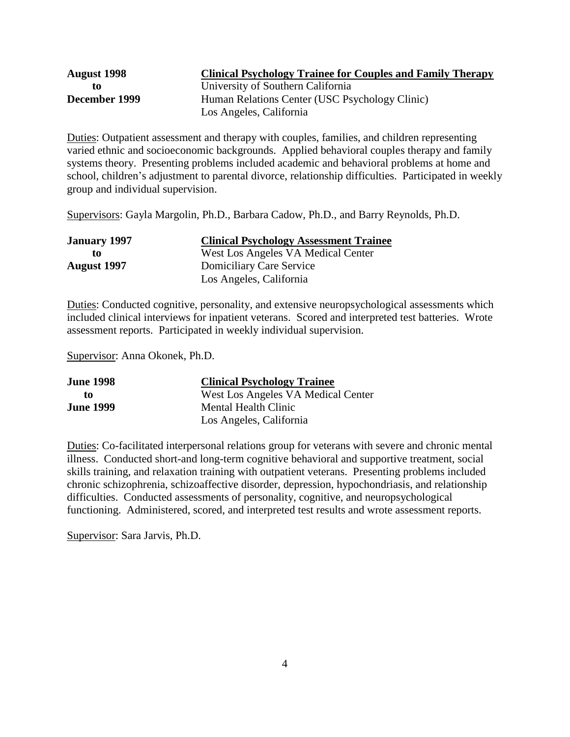| <b>August 1998</b> | <b>Clinical Psychology Trainee for Couples and Family Therapy</b> |
|--------------------|-------------------------------------------------------------------|
| TO.                | University of Southern California                                 |
| December 1999      | Human Relations Center (USC Psychology Clinic)                    |
|                    | Los Angeles, California                                           |

Duties: Outpatient assessment and therapy with couples, families, and children representing varied ethnic and socioeconomic backgrounds. Applied behavioral couples therapy and family systems theory. Presenting problems included academic and behavioral problems at home and school, children's adjustment to parental divorce, relationship difficulties. Participated in weekly group and individual supervision.

Supervisors: Gayla Margolin, Ph.D., Barbara Cadow, Ph.D., and Barry Reynolds, Ph.D.

| <b>January 1997</b> | <b>Clinical Psychology Assessment Trainee</b> |
|---------------------|-----------------------------------------------|
| tο                  | West Los Angeles VA Medical Center            |
| <b>August</b> 1997  | <b>Domiciliary Care Service</b>               |
|                     | Los Angeles, California                       |

Duties: Conducted cognitive, personality, and extensive neuropsychological assessments which included clinical interviews for inpatient veterans. Scored and interpreted test batteries. Wrote assessment reports. Participated in weekly individual supervision.

Supervisor: Anna Okonek, Ph.D.

| <b>June 1998</b> | <b>Clinical Psychology Trainee</b> |
|------------------|------------------------------------|
| to               | West Los Angeles VA Medical Center |
| <b>June 1999</b> | Mental Health Clinic               |
|                  | Los Angeles, California            |

Duties: Co-facilitated interpersonal relations group for veterans with severe and chronic mental illness. Conducted short-and long-term cognitive behavioral and supportive treatment, social skills training, and relaxation training with outpatient veterans. Presenting problems included chronic schizophrenia, schizoaffective disorder, depression, hypochondriasis, and relationship difficulties. Conducted assessments of personality, cognitive, and neuropsychological functioning. Administered, scored, and interpreted test results and wrote assessment reports.

Supervisor: Sara Jarvis, Ph.D.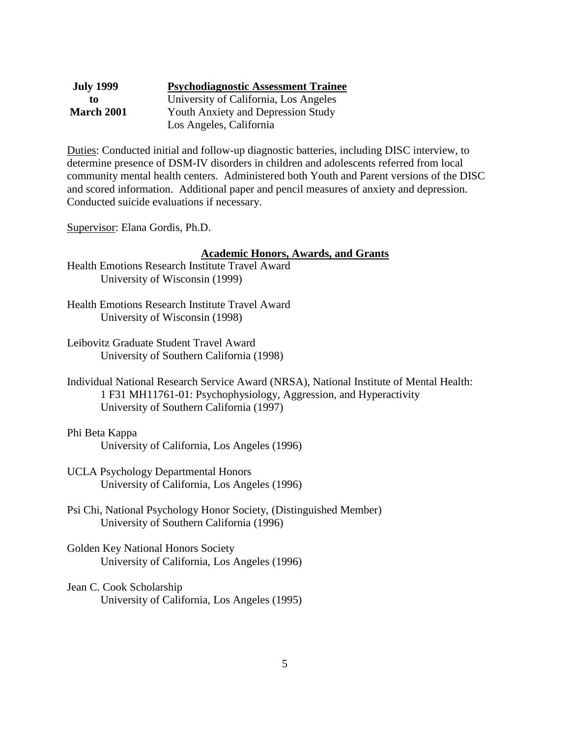| <b>July 1999</b>  | <b>Psychodiagnostic Assessment Trainee</b> |
|-------------------|--------------------------------------------|
| to                | University of California, Los Angeles      |
| <b>March 2001</b> | <b>Youth Anxiety and Depression Study</b>  |
|                   | Los Angeles, California                    |

Duties: Conducted initial and follow-up diagnostic batteries, including DISC interview, to determine presence of DSM-IV disorders in children and adolescents referred from local community mental health centers. Administered both Youth and Parent versions of the DISC and scored information. Additional paper and pencil measures of anxiety and depression. Conducted suicide evaluations if necessary.

Supervisor: Elana Gordis, Ph.D.

#### **Academic Honors, Awards, and Grants**

- Health Emotions Research Institute Travel Award University of Wisconsin (1999)
- Health Emotions Research Institute Travel Award University of Wisconsin (1998)
- Leibovitz Graduate Student Travel Award University of Southern California (1998)
- Individual National Research Service Award (NRSA), National Institute of Mental Health: 1 F31 MH11761-01: Psychophysiology, Aggression, and Hyperactivity University of Southern California (1997)

### Phi Beta Kappa University of California, Los Angeles (1996)

- UCLA Psychology Departmental Honors University of California, Los Angeles (1996)
- Psi Chi, National Psychology Honor Society, (Distinguished Member) University of Southern California (1996)
- Golden Key National Honors Society University of California, Los Angeles (1996)
- Jean C. Cook Scholarship University of California, Los Angeles (1995)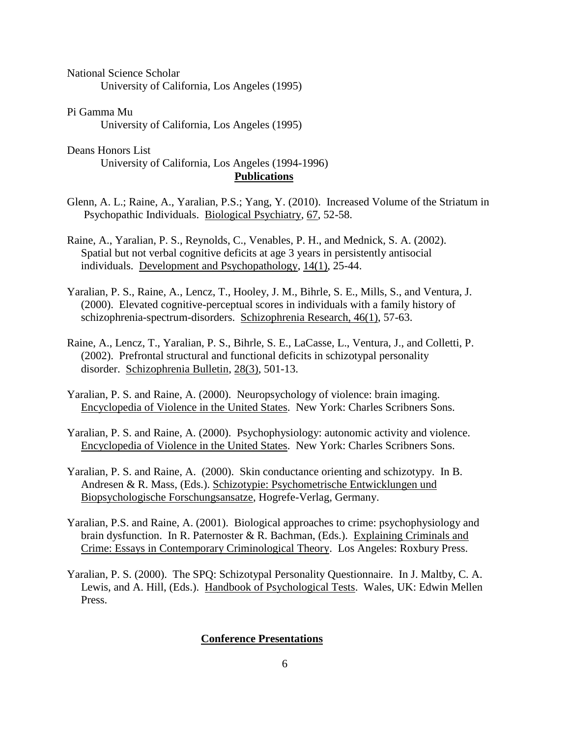National Science Scholar University of California, Los Angeles (1995)

Pi Gamma Mu University of California, Los Angeles (1995)

Deans Honors List University of California, Los Angeles (1994-1996) **Publications**

Glenn, A. L.; Raine, A., Yaralian, P.S.; Yang, Y. (2010). Increased Volume of the Striatum in Psychopathic Individuals. Biological Psychiatry, 67, 52-58.

Raine, A., Yaralian, P. S., Reynolds, C., Venables, P. H., and Mednick, S. A. (2002). Spatial but not verbal cognitive deficits at age 3 years in persistently antisocial individuals. Development and Psychopathology, 14(1), 25-44.

Yaralian, P. S., Raine, A., Lencz, T., Hooley, J. M., Bihrle, S. E., Mills, S., and Ventura, J. (2000). Elevated cognitive-perceptual scores in individuals with a family history of schizophrenia-spectrum-disorders. Schizophrenia Research, 46(1), 57-63.

Raine, A., Lencz, T., Yaralian, P. S., Bihrle, S. E., LaCasse, L., Ventura, J., and Colletti, P. (2002). Prefrontal structural and functional deficits in schizotypal personality disorder. Schizophrenia Bulletin, 28(3), 501-13.

Yaralian, P. S. and Raine, A. (2000). Neuropsychology of violence: brain imaging. Encyclopedia of Violence in the United States. New York: Charles Scribners Sons.

Yaralian, P. S. and Raine, A. (2000). Psychophysiology: autonomic activity and violence. Encyclopedia of Violence in the United States. New York: Charles Scribners Sons.

Yaralian, P. S. and Raine, A. (2000). Skin conductance orienting and schizotypy. In B. Andresen & R. Mass, (Eds.). Schizotypie: Psychometrische Entwicklungen und Biopsychologische Forschungsansatze, Hogrefe-Verlag, Germany.

Yaralian, P.S. and Raine, A. (2001). Biological approaches to crime: psychophysiology and brain dysfunction. In R. Paternoster & R. Bachman, (Eds.). Explaining Criminals and Crime: Essays in Contemporary Criminological Theory. Los Angeles: Roxbury Press.

Yaralian, P. S. (2000). The SPQ: Schizotypal Personality Questionnaire. In J. Maltby, C. A. Lewis, and A. Hill, (Eds.). Handbook of Psychological Tests. Wales, UK: Edwin Mellen Press.

#### **Conference Presentations**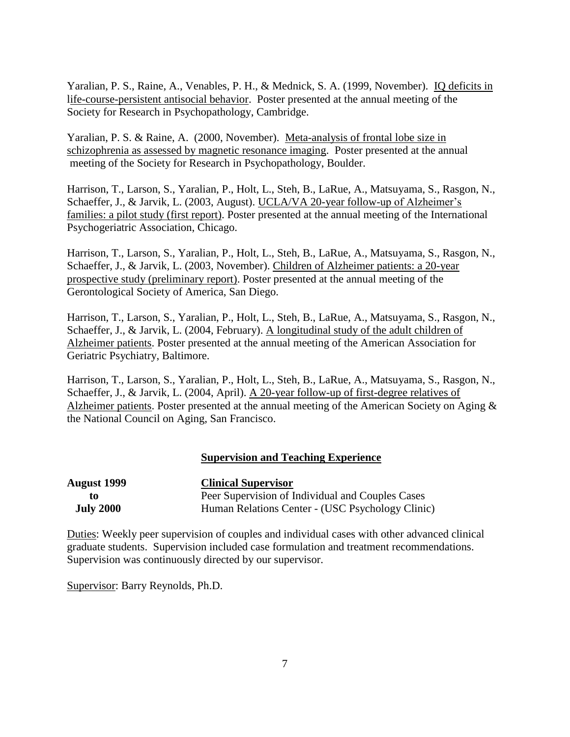Yaralian, P. S., Raine, A., Venables, P. H., & Mednick, S. A. (1999, November). IQ deficits in life-course-persistent antisocial behavior. Poster presented at the annual meeting of the Society for Research in Psychopathology, Cambridge.

Yaralian, P. S. & Raine, A. (2000, November). Meta-analysis of frontal lobe size in schizophrenia as assessed by magnetic resonance imaging. Poster presented at the annual meeting of the Society for Research in Psychopathology, Boulder.

Harrison, T., Larson, S., Yaralian, P., Holt, L., Steh, B., LaRue, A., Matsuyama, S., Rasgon, N., Schaeffer, J., & Jarvik, L. (2003, August). UCLA/VA 20-year follow-up of Alzheimer's families: a pilot study (first report). Poster presented at the annual meeting of the International Psychogeriatric Association, Chicago.

Harrison, T., Larson, S., Yaralian, P., Holt, L., Steh, B., LaRue, A., Matsuyama, S., Rasgon, N., Schaeffer, J., & Jarvik, L. (2003, November). Children of Alzheimer patients: a 20-year prospective study (preliminary report). Poster presented at the annual meeting of the Gerontological Society of America, San Diego.

Harrison, T., Larson, S., Yaralian, P., Holt, L., Steh, B., LaRue, A., Matsuyama, S., Rasgon, N., Schaeffer, J., & Jarvik, L. (2004, February). A longitudinal study of the adult children of Alzheimer patients. Poster presented at the annual meeting of the American Association for Geriatric Psychiatry, Baltimore.

Harrison, T., Larson, S., Yaralian, P., Holt, L., Steh, B., LaRue, A., Matsuyama, S., Rasgon, N., Schaeffer, J., & Jarvik, L. (2004, April). A 20-year follow-up of first-degree relatives of Alzheimer patients. Poster presented at the annual meeting of the American Society on Aging & the National Council on Aging, San Francisco.

# **Supervision and Teaching Experience**

| August 1999      | <b>Clinical Supervisor</b>                       |
|------------------|--------------------------------------------------|
| tΩ               | Peer Supervision of Individual and Couples Cases |
| <b>July 2000</b> | Human Relations Center - (USC Psychology Clinic) |

Duties: Weekly peer supervision of couples and individual cases with other advanced clinical graduate students. Supervision included case formulation and treatment recommendations. Supervision was continuously directed by our supervisor.

Supervisor: Barry Reynolds, Ph.D.